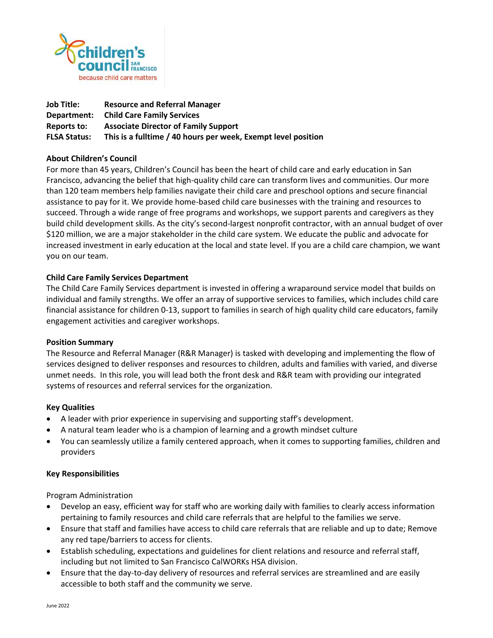

| Job Title:          | <b>Resource and Referral Manager</b>                          |
|---------------------|---------------------------------------------------------------|
| Department:         | <b>Child Care Family Services</b>                             |
| Reports to:         | <b>Associate Director of Family Support</b>                   |
| <b>FLSA Status:</b> | This is a fulltime / 40 hours per week, Exempt level position |

### **About Children's Council**

For more than 45 years, Children's Council has been the heart of child care and early education in San Francisco, advancing the belief that high-quality child care can transform lives and communities. Our more than 120 team members help families navigate their child care and preschool options and secure financial assistance to pay for it. We provide home-based child care businesses with the training and resources to succeed. Through a wide range of free programs and workshops, we support parents and caregivers as they build child development skills. As the city's second-largest nonprofit contractor, with an annual budget of over \$120 million, we are a major stakeholder in the child care system. We educate the public and advocate for increased investment in early education at the local and state level. If you are a child care champion, we want you on our team.

# **Child Care Family Services Department**

The Child Care Family Services department is invested in offering a wraparound service model that builds on individual and family strengths. We offer an array of supportive services to families, which includes child care financial assistance for children 0-13, support to families in search of high quality child care educators, family engagement activities and caregiver workshops.

#### **Position Summary**

The Resource and Referral Manager (R&R Manager) is tasked with developing and implementing the flow of services designed to deliver responses and resources to children, adults and families with varied, and diverse unmet needs. In this role, you will lead both the front desk and R&R team with providing our integrated systems of resources and referral services for the organization.

#### **Key Qualities**

- A leader with prior experience in supervising and supporting staff's development.
- A natural team leader who is a champion of learning and a growth mindset culture
- You can seamlessly utilize a family centered approach, when it comes to supporting families, children and providers

#### **Key Responsibilities**

Program Administration

- Develop an easy, efficient way for staff who are working daily with families to clearly access information pertaining to family resources and child care referrals that are helpful to the families we serve.
- Ensure that staff and families have access to child care referrals that are reliable and up to date; Remove any red tape/barriers to access for clients.
- Establish scheduling, expectations and guidelines for client relations and resource and referral staff, including but not limited to San Francisco CalWORKs HSA division.
- Ensure that the day-to-day delivery of resources and referral services are streamlined and are easily accessible to both staff and the community we serve.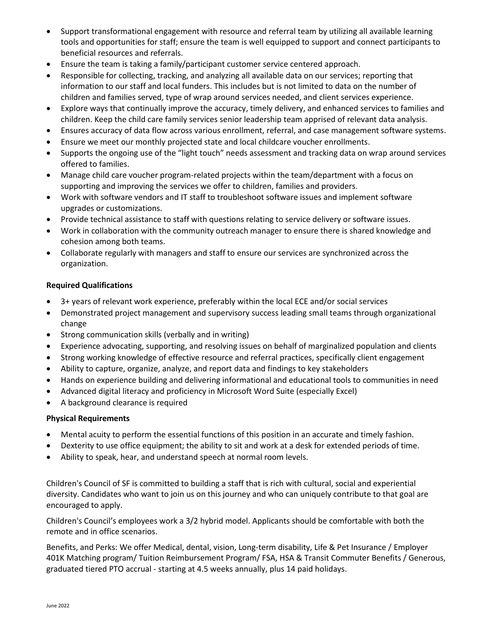- Support transformational engagement with resource and referral team by utilizing all available learning tools and opportunities for staff; ensure the team is well equipped to support and connect participants to beneficial resources and referrals.
- Ensure the team is taking a family/participant customer service centered approach.
- Responsible for collecting, tracking, and analyzing all available data on our services; reporting that information to our staff and local funders. This includes but is not limited to data on the number of children and families served, type of wrap around services needed, and client services experience.
- Explore ways that continually improve the accuracy, timely delivery, and enhanced services to families and children. Keep the child care family services senior leadership team apprised of relevant data analysis.
- Ensures accuracy of data flow across various enrollment, referral, and case management software systems.
- Ensure we meet our monthly projected state and local childcare voucher enrollments.
- Supports the ongoing use of the "light touch" needs assessment and tracking data on wrap around services offered to families.
- Manage child care voucher program-related projects within the team/department with a focus on supporting and improving the services we offer to children, families and providers.
- Work with software vendors and IT staff to troubleshoot software issues and implement software upgrades or customizations.
- Provide technical assistance to staff with questions relating to service delivery or software issues.
- Work in collaboration with the community outreach manager to ensure there is shared knowledge and cohesion among both teams.
- Collaborate regularly with managers and staff to ensure our services are synchronized across the organization.

# **Required Qualifications**

- 3+ years of relevant work experience, preferably within the local ECE and/or social services
- Demonstrated project management and supervisory success leading small teams through organizational change
- Strong communication skills (verbally and in writing)
- Experience advocating, supporting, and resolving issues on behalf of marginalized population and clients
- Strong working knowledge of effective resource and referral practices, specifically client engagement
- Ability to capture, organize, analyze, and report data and findings to key stakeholders
- Hands on experience building and delivering informational and educational tools to communities in need
- Advanced digital literacy and proficiency in Microsoft Word Suite (especially Excel)
- A background clearance is required

# **Physical Requirements**

- Mental acuity to perform the essential functions of this position in an accurate and timely fashion.
- Dexterity to use office equipment; the ability to sit and work at a desk for extended periods of time.
- Ability to speak, hear, and understand speech at normal room levels.

Children's Council of SF is committed to building a staff that is rich with cultural, social and experiential diversity. Candidates who want to join us on this journey and who can uniquely contribute to that goal are encouraged to apply.

Children's Council's employees work a 3/2 hybrid model. Applicants should be comfortable with both the remote and in office scenarios.

Benefits, and Perks: We offer Medical, dental, vision, Long-term disability, Life & Pet Insurance / Employer 401K Matching program/ Tuition Reimbursement Program/ FSA, HSA & Transit Commuter Benefits / Generous, graduated tiered PTO accrual - starting at 4.5 weeks annually, plus 14 paid holidays.